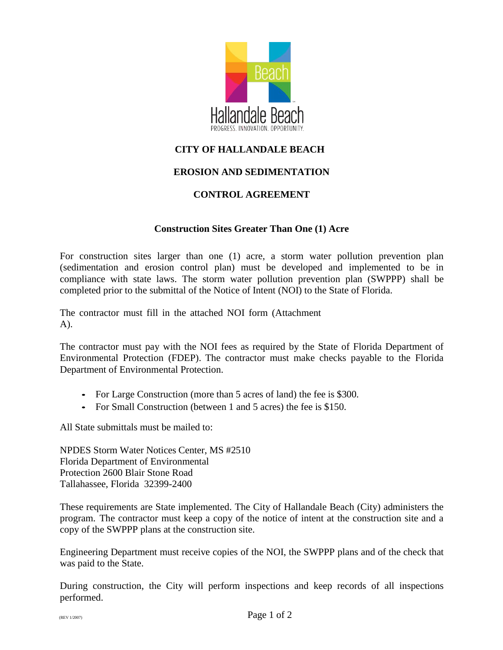

## **CITY OF HALLANDALE BEACH**

## **EROSION AND SEDIMENTATION**

## **CONTROL AGREEMENT**

## **Construction Sites Greater Than One (1) Acre**

For construction sites larger than one (1) acre, a storm water pollution prevention plan (sedimentation and erosion control plan) must be developed and implemented to be in compliance with state laws. The storm water pollution prevention plan (SWPPP) shall be completed prior to the submittal of the Notice of Intent (NOI) to the State of Florida.

The contractor must fill in the attached NOI form (Attachment A).

The contractor must pay with the NOI fees as required by the State of Florida Department of Environmental Protection (FDEP). The contractor must make checks payable to the Florida Department of Environmental Protection.

- *•* For Large Construction (more than <sup>5</sup> acres of land) the fee is \$300.
- *•* For Small Construction (between 1 and 5 acres) the fee is \$150.

All State submittals must be mailed to:

NPDES Storm Water Notices Center, MS #2510 Florida Department of Environmental Protection 2600 Blair Stone Road Tallahassee, Florida 32399-2400

These requirements are State implemented. The City of Hallandale Beach (City) administers the program. The contractor must keep a copy of the notice of intent at the construction site and a copy of the SWPPP plans at the construction site.

Engineering Department must receive copies of the NOI, the SWPPP plans and of the check that was paid to the State.

During construction, the City will perform inspections and keep records of all inspections performed.